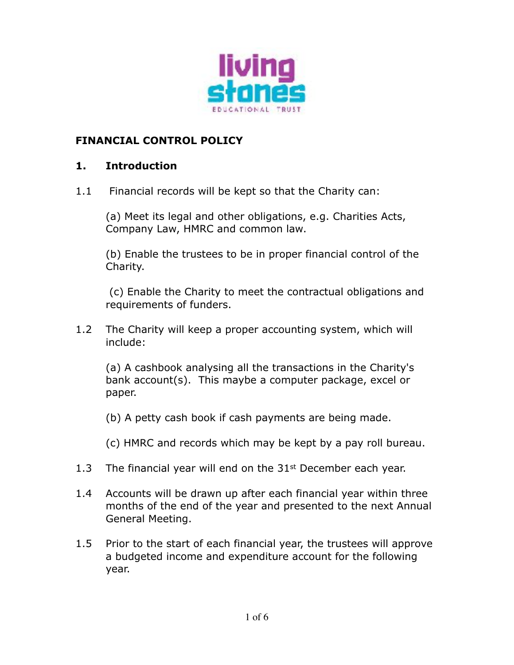

## **FINANCIAL CONTROL POLICY**

### **1. Introduction**

1.1 Financial records will be kept so that the Charity can:

(a) Meet its legal and other obligations, e.g. Charities Acts, Company Law, HMRC and common law.

(b) Enable the trustees to be in proper financial control of the Charity.

 (c) Enable the Charity to meet the contractual obligations and requirements of funders.

1.2 The Charity will keep a proper accounting system, which will include:

(a) A cashbook analysing all the transactions in the Charity's bank account(s). This maybe a computer package, excel or paper.

(b) A petty cash book if cash payments are being made.

(c) HMRC and records which may be kept by a pay roll bureau.

- 1.3 The financial year will end on the  $31<sup>st</sup>$  December each year.
- 1.4 Accounts will be drawn up after each financial year within three months of the end of the year and presented to the next Annual General Meeting.
- 1.5 Prior to the start of each financial year, the trustees will approve a budgeted income and expenditure account for the following year.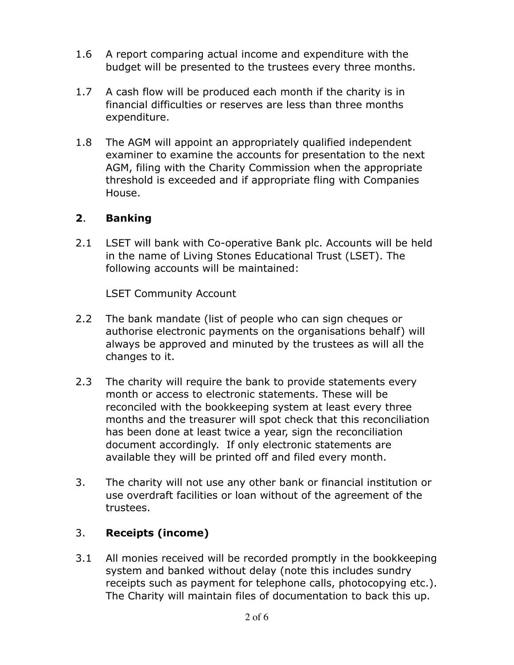- 1.6 A report comparing actual income and expenditure with the budget will be presented to the trustees every three months.
- 1.7 A cash flow will be produced each month if the charity is in financial difficulties or reserves are less than three months expenditure.
- 1.8 The AGM will appoint an appropriately qualified independent examiner to examine the accounts for presentation to the next AGM, filing with the Charity Commission when the appropriate threshold is exceeded and if appropriate fling with Companies House.

## **2**. **Banking**

2.1 LSET will bank with Co-operative Bank plc. Accounts will be held in the name of Living Stones Educational Trust (LSET). The following accounts will be maintained:

LSET Community Account

- 2.2 The bank mandate (list of people who can sign cheques or authorise electronic payments on the organisations behalf) will always be approved and minuted by the trustees as will all the changes to it.
- 2.3 The charity will require the bank to provide statements every month or access to electronic statements. These will be reconciled with the bookkeeping system at least every three months and the treasurer will spot check that this reconciliation has been done at least twice a year, sign the reconciliation document accordingly. If only electronic statements are available they will be printed off and filed every month.
- 3. The charity will not use any other bank or financial institution or use overdraft facilities or loan without of the agreement of the trustees.

# 3. **Receipts (income)**

3.1 All monies received will be recorded promptly in the bookkeeping system and banked without delay (note this includes sundry receipts such as payment for telephone calls, photocopying etc.). The Charity will maintain files of documentation to back this up.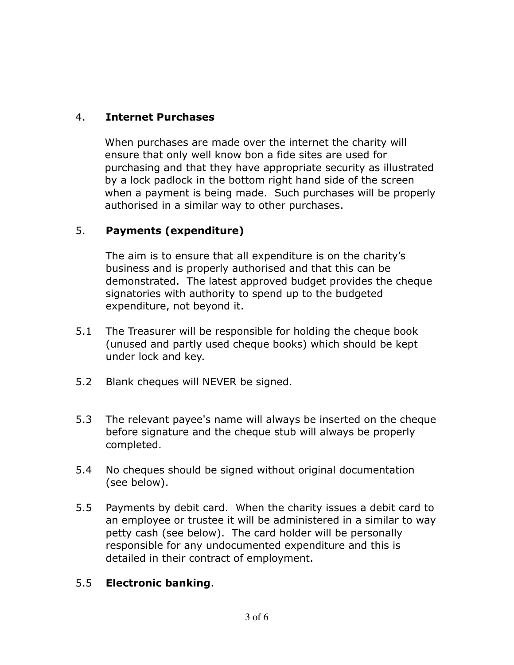# 4. **Internet Purchases**

When purchases are made over the internet the charity will ensure that only well know bon a fide sites are used for purchasing and that they have appropriate security as illustrated by a lock padlock in the bottom right hand side of the screen when a payment is being made. Such purchases will be properly authorised in a similar way to other purchases.

## 5. **Payments (expenditure)**

The aim is to ensure that all expenditure is on the charity's business and is properly authorised and that this can be demonstrated. The latest approved budget provides the cheque signatories with authority to spend up to the budgeted expenditure, not beyond it.

- 5.1 The Treasurer will be responsible for holding the cheque book (unused and partly used cheque books) which should be kept under lock and key.
- 5.2 Blank cheques will NEVER be signed.
- 5.3 The relevant payee's name will always be inserted on the cheque before signature and the cheque stub will always be properly completed.
- 5.4 No cheques should be signed without original documentation (see below).
- 5.5 Payments by debit card. When the charity issues a debit card to an employee or trustee it will be administered in a similar to way petty cash (see below). The card holder will be personally responsible for any undocumented expenditure and this is detailed in their contract of employment.

### 5.5 **Electronic banking**.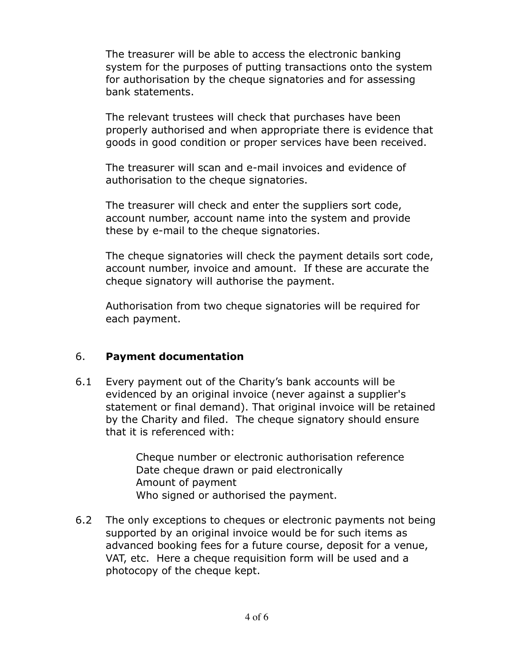The treasurer will be able to access the electronic banking system for the purposes of putting transactions onto the system for authorisation by the cheque signatories and for assessing bank statements.

The relevant trustees will check that purchases have been properly authorised and when appropriate there is evidence that goods in good condition or proper services have been received.

The treasurer will scan and e-mail invoices and evidence of authorisation to the cheque signatories.

The treasurer will check and enter the suppliers sort code, account number, account name into the system and provide these by e-mail to the cheque signatories.

The cheque signatories will check the payment details sort code, account number, invoice and amount. If these are accurate the cheque signatory will authorise the payment.

Authorisation from two cheque signatories will be required for each payment.

### 6. **Payment documentation**

6.1 Every payment out of the Charity's bank accounts will be evidenced by an original invoice (never against a supplier's statement or final demand). That original invoice will be retained by the Charity and filed. The cheque signatory should ensure that it is referenced with:

> Cheque number or electronic authorisation reference Date cheque drawn or paid electronically Amount of payment Who signed or authorised the payment.

6.2 The only exceptions to cheques or electronic payments not being supported by an original invoice would be for such items as advanced booking fees for a future course, deposit for a venue, VAT, etc. Here a cheque requisition form will be used and a photocopy of the cheque kept.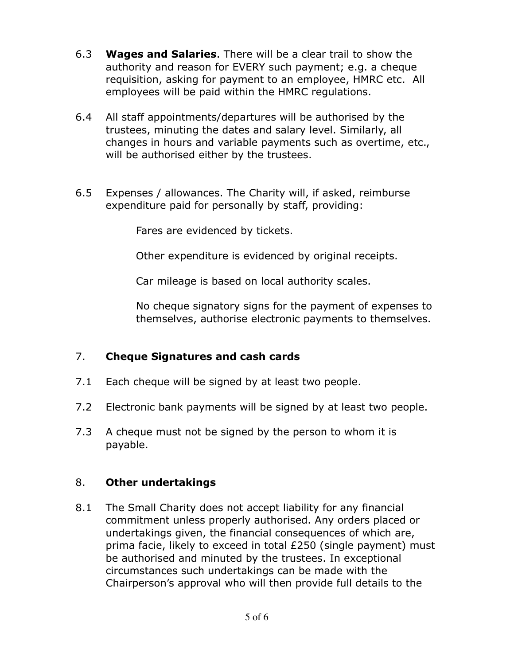- 6.3 **Wages and Salaries**. There will be a clear trail to show the authority and reason for EVERY such payment; e.g. a cheque requisition, asking for payment to an employee, HMRC etc. All employees will be paid within the HMRC regulations.
- 6.4 All staff appointments/departures will be authorised by the trustees, minuting the dates and salary level. Similarly, all changes in hours and variable payments such as overtime, etc., will be authorised either by the trustees.
- 6.5 Expenses / allowances. The Charity will, if asked, reimburse expenditure paid for personally by staff, providing:

Fares are evidenced by tickets.

Other expenditure is evidenced by original receipts.

Car mileage is based on local authority scales.

No cheque signatory signs for the payment of expenses to themselves, authorise electronic payments to themselves.

### 7. **Cheque Signatures and cash cards**

- 7.1 Each cheque will be signed by at least two people.
- 7.2 Electronic bank payments will be signed by at least two people.
- 7.3 A cheque must not be signed by the person to whom it is payable.

### 8. **Other undertakings**

8.1 The Small Charity does not accept liability for any financial commitment unless properly authorised. Any orders placed or undertakings given, the financial consequences of which are, prima facie, likely to exceed in total £250 (single payment) must be authorised and minuted by the trustees. In exceptional circumstances such undertakings can be made with the Chairperson's approval who will then provide full details to the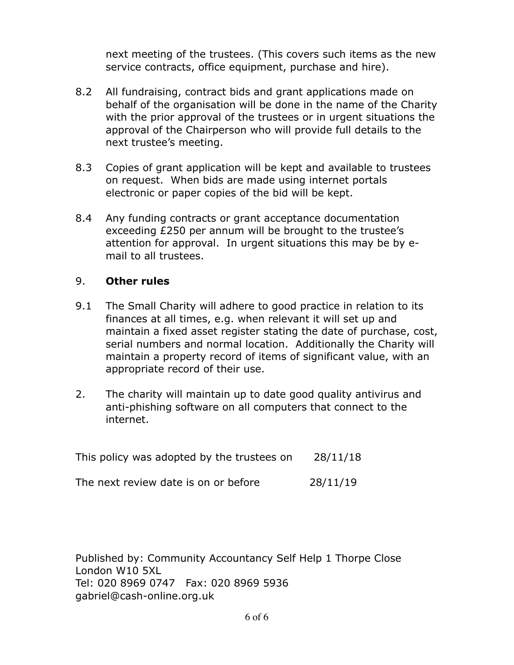next meeting of the trustees. (This covers such items as the new service contracts, office equipment, purchase and hire).

- 8.2 All fundraising, contract bids and grant applications made on behalf of the organisation will be done in the name of the Charity with the prior approval of the trustees or in urgent situations the approval of the Chairperson who will provide full details to the next trustee's meeting.
- 8.3 Copies of grant application will be kept and available to trustees on request. When bids are made using internet portals electronic or paper copies of the bid will be kept.
- 8.4 Any funding contracts or grant acceptance documentation exceeding £250 per annum will be brought to the trustee's attention for approval. In urgent situations this may be by email to all trustees.

#### 9. **Other rules**

- 9.1 The Small Charity will adhere to good practice in relation to its finances at all times, e.g. when relevant it will set up and maintain a fixed asset register stating the date of purchase, cost, serial numbers and normal location. Additionally the Charity will maintain a property record of items of significant value, with an appropriate record of their use.
- 2. The charity will maintain up to date good quality antivirus and anti-phishing software on all computers that connect to the internet.

This policy was adopted by the trustees on 28/11/18

The next review date is on or before 28/11/19

Published by: Community Accountancy Self Help 1 Thorpe Close London W10 5XL Tel: 020 8969 0747 Fax: 020 8969 5936 gabriel@cash-online.org.uk